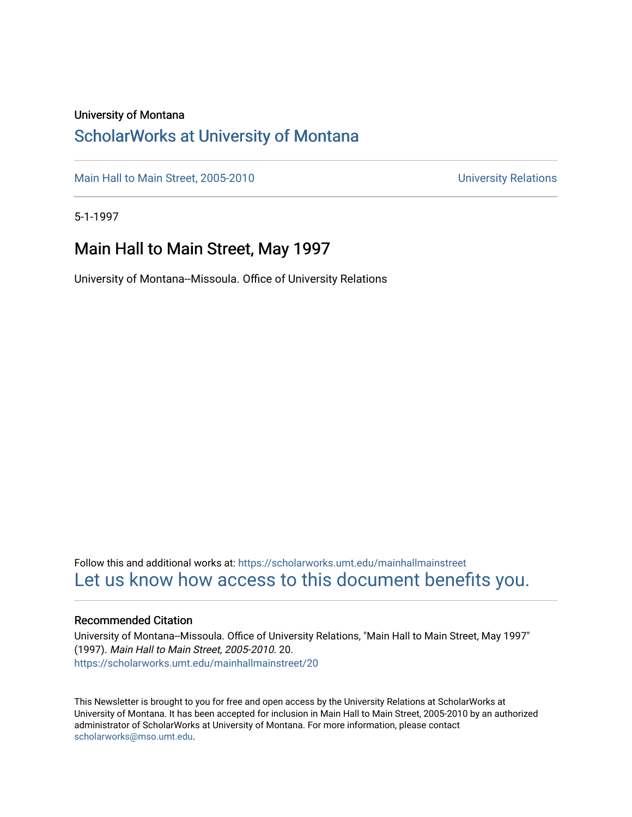### University of Montana

### [ScholarWorks at University of Montana](https://scholarworks.umt.edu/)

[Main Hall to Main Street, 2005-2010](https://scholarworks.umt.edu/mainhallmainstreet) Main Hall to Main Street, 2005-2010

5-1-1997

### Main Hall to Main Street, May 1997

University of Montana--Missoula. Office of University Relations

Follow this and additional works at: [https://scholarworks.umt.edu/mainhallmainstreet](https://scholarworks.umt.edu/mainhallmainstreet?utm_source=scholarworks.umt.edu%2Fmainhallmainstreet%2F20&utm_medium=PDF&utm_campaign=PDFCoverPages) [Let us know how access to this document benefits you.](https://goo.gl/forms/s2rGfXOLzz71qgsB2) 

#### Recommended Citation

University of Montana--Missoula. Office of University Relations, "Main Hall to Main Street, May 1997" (1997). Main Hall to Main Street, 2005-2010. 20. [https://scholarworks.umt.edu/mainhallmainstreet/20](https://scholarworks.umt.edu/mainhallmainstreet/20?utm_source=scholarworks.umt.edu%2Fmainhallmainstreet%2F20&utm_medium=PDF&utm_campaign=PDFCoverPages) 

This Newsletter is brought to you for free and open access by the University Relations at ScholarWorks at University of Montana. It has been accepted for inclusion in Main Hall to Main Street, 2005-2010 by an authorized administrator of ScholarWorks at University of Montana. For more information, please contact [scholarworks@mso.umt.edu.](mailto:scholarworks@mso.umt.edu)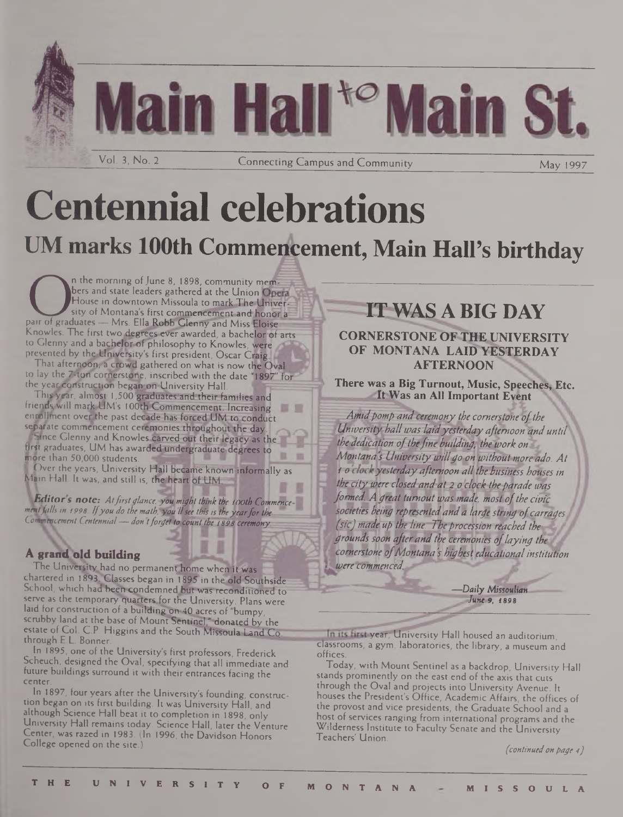

## **Centennial celebrations UM marks 100th Commencement, Main Hall's birthday**

**Community mem**<br>bers and state leaders gathered at the Union Operator and state leaders gathered at the Union Operator House in downtown Missoula to mark The Univ<br>pair of graduates — Mrs. Ella Robb Glenny and Miss Eloise n the morning of June 8, 1898, community members and state leaders gathered at the Union Operal House in downtown Missoula to mark The University of Montana's first commencement and honor a Knowles. The first two degrees ever awarded, a bachelor of arts to Glenny and a bachelor of philosophy to Knowles, were presented by the University's first president, Oscar Craig

That afternoon, a crowd gathered on what is now the Oval to lay the 7-ton cornerstone, inscribed with the date "1897" for the year construction began on University Hall.

This year, almost 1,500 graduates and their families and friends will mark UM's 100th Commencement. Increasing enrollment over the past decade has forced UM to conduct separate commencement ceremonies throughout the day.

*JrKt* Glenny and Knowles carved out their legacy as the ' first graduates, UM has awarded undergraduate degrees to more than  $50,000$  students.

I Over the years, University Hall became known informally as Main Hall. It was, and still is, the heart of UM.

*Editors note: Atfirstglance, you might think the tooth Commence-^ menffalls in 1998. Ifyou do the mathlyof 'Usee this is theyearforthe Commencement Centennial—don tforget to. count the <sup>1898</sup> ceremony.*

### A grand old building

The University had no permanent home when it was chartered in 1893. Classes began in 1895 in the old Southside School, which had been condemned but was reconditioned to serve as the temporary quarters for the University. Plans were laid for construction of a building on 40 acres of "bumpy, scrubby land at the base of Mount Sentinel," donated by the estate of Col. C.P. Higgins and the South Missoula Land Co through E.L. Bonner.

In 1895, one of the University's first professors, Frederick Scheuch, designed the Oval, specifying that all immediate and future buildings surround it with their entrances facing the center.

In 1897, four years after the University's founding, construction began on its first building. It was University Hall, and although Science Hall beat it to completion in 1898, only University Hall remains today. Science Hall, later the Venture Center, was razed in 1983. (In 1996, the Davidson Honors College opened on the site.)

### **IT WAS A BIG DAY**

### **CORNERSTONE OF THE UNIVERSITY OF MONTANA LAID YESTERDAY AFTERNOON**

**Sp There was a Big Turnout, Music, Speeches, Etc. It Was an All Important Event**

*Amidpomp andceremony the cornerstone ofthe University hallwas laidyesterday afternoon and until fithededication of the fine building, the work on Montana's University willgo onwithout more ado. At* **/ <sup>0</sup>** *yesterdayafternoon allthebusiness houses in , the city, were closed-andat 2 o clock the parade was formed. Agreat turnout was made, most ofthe civic* **I SH&'CW'to Awry** *representedanda large string ofcarragesi (sicj Made Up the line: Theprocession reached the groundssoon afterand the ceremonies oflaying the cornerstone ofMontana's highest educationalinstitution <i>* $\blacksquare$  *<b><i>Dere commenced.* 

> *—Daily Missoulian June 9,* 1898

In its first year, University Hall housed an auditorium, classrooms, a gym, laboratories, the library, a museum and offices.

Today, with Mount Sentinel as a backdrop, University Hall stands prominently on the east end of the axis that cuts through the Oval and projects into University Avenue. It houses the President's Office, Academic Affairs, the offices of the provost and vice presidents, the Graduate School and a host of services ranging from international programs and the Wilderness Institute to Faculty Senate and the University Teachers' Union.

f*continuedon page 4)*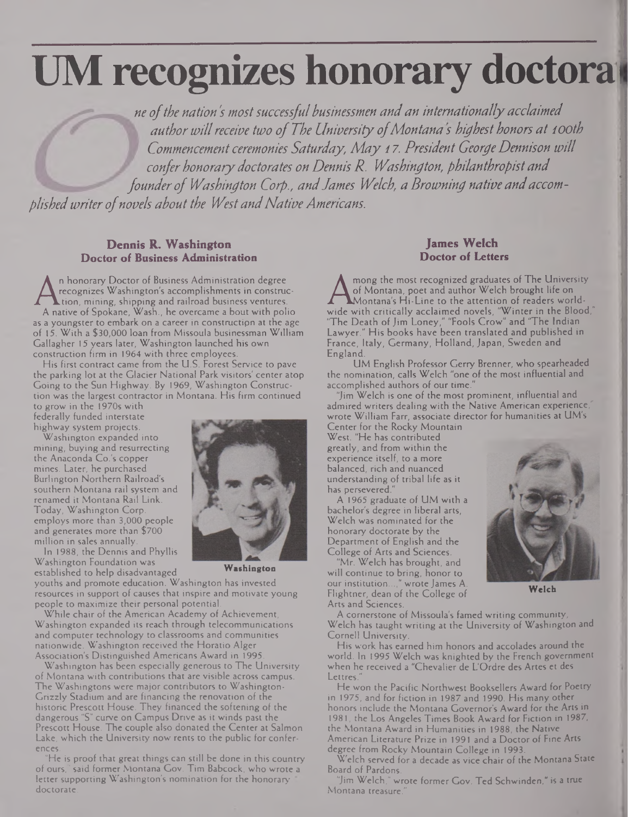# **UM recognizes honorary doctora<sup>l</sup>**

w*ofthe nation's mostsuccessful businessmen andan internationallyacclaimed authorwillreceive two ofThe University ofMontana s highest honors at <sup>1</sup>ooth Commencement ceremonies Saturday, May 17. President GeorgeDennison will confer honorary doctorates on Dennis R. Washington, philanthropist and founderof Washington Corp., andJames Welch, a Browning native andaccomplishedwriterofnovels about the WestandNativeAmericans.*

### **Dennis R. Washington Doctor of Business Administration**

A recognizes Washington's accomplishments in construc-<br>A native of Spokane, Wash., he overcame a bout with polio<br>as a voungeter to embark on a career in construction at the age n honorary Doctor of Business Administration degree recognizes Washington's accomplishments in construe-  $\mathsf{L}$ tion, mining, shipping and railroad business ventures. as a youngster to embark on a career in construction at the age of 15. With a \$30,000 loan from Missoula businessman William Gallagher 15 years later, Washington launched his own construction firm in 1964 with three employees.

His first contract came from the U.S. Forest Service to pave the parking lot at the Glacier National Park visitors' center atop Going to the Sun Highway. By 1969, Washington Construction was the largest contractor in Montana. His firm continued

to grow in the 1970s with federally funded interstate highway system projects.

Washington expanded into mining, buying and resurrecting the Anaconda Co.'s copper mines. Later, he purchased Burlington Northern Railroad's southern Montana rail system and renamed it Montana Rail Link. Today, Washington Corp, employs more than 3,000 people and generates more than \$700 million in sales annually.

In 1988, the Dennis and Phyllis Washington Foundation was established to help disadvantaged



**Washington**

youths and promote education. Washington has invested resources in support of causes that inspire and motivate young people to maximize their personal potential.

While chair of the American Academy of Achievement, Washington expanded its reach through telecommunications and computer technology to classrooms and communities nationwide. Washington received the Horatio Alger Association's Distinguished Americans Award in 1995.

Washington has been especially generous to The University of Montana with contributions that are visible across campus. The Washingtons were major contributors to Washington-Grizzly Stadium and are financing the renovation of the historic Prescott House. They financed the softening of the dangerous "S'' curve on Campus Drive as it winds past the Prescott House. The couple also donated the Center at Salmon Lake, which the University now rents to the public for conferences.

"He is proof that great things can still be done in this country of ours," said former Montana Gov. Tim Babcock, who wrote a letter supporting Washington's nomination for the honorary doctorate.

### **James Welch Doctor of Letters**

 $A_{\text{wide}}^c$ <br>wide w mong the most recognized graduates of The University of Montana, poet and author Welch brought life on Montana's Hi-Line to the attention of readers worldwith critically acclaimed novels, "Winter in the Blood,"  $\begin{array}{|c|c|} \hline \end{array}$ "The Death of Jim Loney," "Fools Crow" and "The Indian Lawyer." His books have been translated and published in France, Italy, Germany, Holland, Japan, Sweden and England.

UM English Professor Gerry Brenner, who spearheaded the nomination, calls Welch "one of the most influential and accomplished authors of our time."

"Jim Welch is one of the most prominent, influential and admired writers dealing with the Native American experience wrote William Farr, associate director for humanities at UM's

Center for the Rocky Mountain West. "He has contributed greatly, and from within the experience itself, to a more balanced, rich and nuanced understanding of tribal life as it has persevered.

A 1965 graduate of UM with a bachelor's degree in liberal arts, Welch was nominated for the honorary doctorate by the Department of English and the College of Arts and Sciences.

"Mr. Welch has brought, and will continue to bring, honor to our institution...," wrote James A. Flightner, dean of the College of Arts and Sciences.



**Welch**

A cornerstone of Missoula's famed writing community, Welch has taught writing at the University of Washington and Cornell University.

His work has earned him honors and accolades around the world. In 1995 Welch was knighted by the French government when he received a "Chevalier de L'Ordre des Artes et des Lettres.

He won the Pacific Northwest Booksellers Award for Poetry in 1975, and for fiction in 1987 and 1990. His many other honors include the Montana Governor's Award for the Arts in 1981, the Los Angeles Times Book Award for Fiction in 1987, the Montana Award in Humanities in 1988, the Native American Literature Prize in 1991 and a Doctor of Fine Arts degree from Rocky Mountain College in 1993.

Welch served for a decade as vice chair of the Montana State Board of Pardons.

"Jim Welch," wrote former Gov. Ted Schwinden," is a true Montana treasure.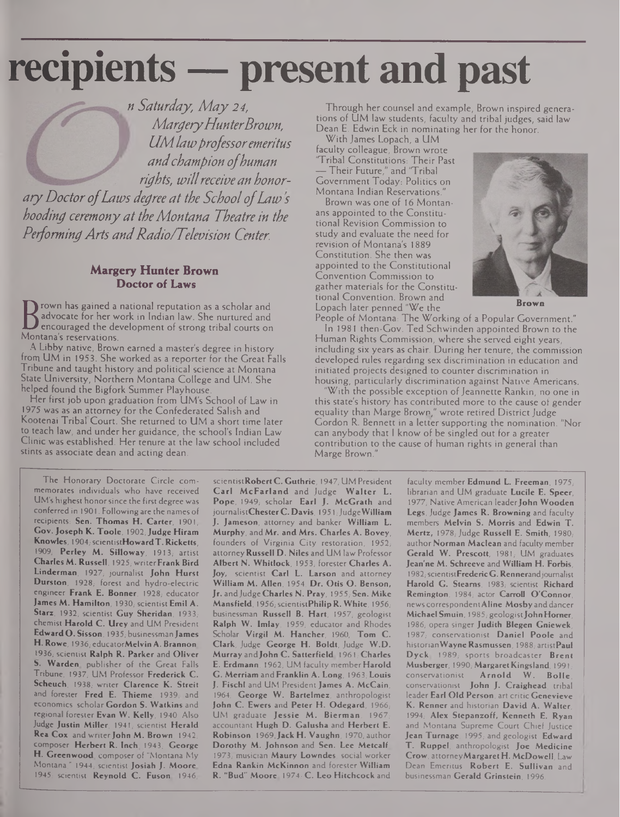# **recipients — present and past**

*n Saturday, May 24, MargeryHunterBrown, LIMlawprofessoremeritus andchampion ofhuman rights, willreceivean honoraryDoctorofLaws degree at the SchoolofLaws hooding ceremonyat theMontana Theatre in the PeformingArts andRadio/Television Center.*

#### **Margery Hunter Brown Doctor of Laws**

**D** encouraged the develo<br>Montana's reservations. rown has gained a national reputation as a scholar and advocate for her work in Indian law. She nurtured and encouraged the development of strong tribal courts on

A Libby native, Brown earned a master's degree in history from UM in 1953. She worked as a reporter for the Great Falls Tribune and taught history and political science at Montana State University, Northern Montana College and UM. She helped found the Bigfork Summer Playhouse.

Her first job upon graduation from UM's School of Law in 1975 was as an attorney for the Confederated Salish and Kootenai Tribal Court. She returned to UM a short time later to teach law, and under her guidance, the school's Indian Law Clinic was established. Her tenure at the law school included stints as associate dean and acting dean.

Through her counsel and example, Brown inspired generations of UM law students, faculty and tribal judges, said law Dean E. Edwin Eck in nominating her for the honor.

With James Lopach, a UM faculty colleague, Brown wrote "Tribal Constitutions: Their Past — Their Future," and 'Tribal Government Today: Politics on Montana Indian Reservations."

Brown was one of 16 Montanans appointed to the Constitutional Revision Commission to study and evaluate the need for revision of Montana's 1889 Constitution. She then was appointed to the Constitutional Convention Commission to gather materials for the Constitutional Convention. Brown and Lopach later penned "We the



**Brown**

People of Montana: The Working of a Popular Government." In 1981 then-Gov. Ted Schwinden appointed Brown to the Human Rights Commission, where she served eight years, including six years as chair. During her tenure, the commission developed rules regarding sex discrimination in education and initiated projects designed to counter discrimination in housing, particularly discrimination against Native Americans.

With the possible exception of Jeannette Rankin, no one in this state's history has contributed more to the cause of gender equality than Marge Brown," wrote retired District Judge Gordon R. Bennett in a letter supporting the nomination. "Nor can anybody that <sup>I</sup> know of be singled out for a greater contribution to the cause of human rights in general than Marge Brown."

The Honorary Doctorate Circle commemorates individuals who have received UM's highest honorsinee the first degree was conferred in 1901. Following are the names of recipients: Sen. Thomas H. Carter, 1901, Gov. Joseph K. Toole, 1902;Judge Hiram Knowles, 1904; scientistHoward T. Ricketts, 1909; Perley M. Silloway, 1913; artist Charles M. Russell, 1925, writerFrank Bird Linderman, 1927; journalist John Hurst Durston, 1928; forest and hydro-electric engineer Frank E. Bonner, 1928; educator James M. Hamilton, 1930; scientist Emil A. Starz, 1932; scientist Guy Sheridan, 1933; chemist Harold C. Urey and UM President EdwardO. Sisson, 1935; businessmanJames H. Rowe, 1936; educatorMelvin A. Brannon, 1936, scientist Ralph R. Parker and Oliver 5. Warden, publisher of the Great Falls Tribune, 1937; UM Professor Frederick C. Scheuch, 1938; writer Clarence K. Streit and forester Fred E. Thieme, 1939, and economics scholar Gordon S. Watkins and regional forester Evan W. Kelly, 1940. Also Judge Justin Miller, 1941; scientist Herald Rea Cox and writer John M. Brown, 1942, composer Herbert R. Inch, 1943; George H. Greenwood, composer of "Montana My Montana," 1944; scientist Josiah J. Moore, 1945; scientist Reynold C. Fuson, 1946,

scientistRobert C. Guthrie, 1947; UM President Carl McFarland and Judge Walter L. Pope, 1949, scholar Earl J. McGrath and journalistChester C. Davis, 1951; Judge William J. Jameson, attorney and banker William L. Murphy, and Mr. and Mrs. Charles A. Bovey, founders of Virginia City restoration, 1952; attorney Russell D. Niles and UM law Professor Albert N. Whitlock, 1953; forester Charles A. Joy, scientist Carl L. Larson and attorney William M. Allen, 1954; Dr. Otis O. Benson, Jr. and Judge Charles N. Pray, 1955; Sen. Mike Mansfield, 1956; scientistPhilip R. White, 1956; businessman Russell B. Hart, 1957; geologist Ralph W. Imlay, 1959; educator and Rhodes Scholar Virgil M. Hancher, 1960, Tom C. Clark, Judge George H. Boldt, Judge W.D. Murray and John C. Satterfield, 1961, Charles E. Erdmann, 1962; UM faculty member Harold G. Merriam and Franklin A. Long, 1963; Louis J. Fischl and UM President James A. McCain, 1964, George W. Bartelmez, anthropologist John C. Ewers and Peter H. Odegard, 1966; UM graduate Jessie M. Bierman, 1967, accountant Hugh D. Galusha and Herbert E. Robinson, 1969; Jack H. Vaughn, 1970; author Dorothy M. Johnson and Sen. Lee Metcalf 1973; musician Maury Lowndes, social worker Edna Rankin McKinnon and forester William R. "Bud" Moore, 1974; C. Leo Hitchcock and

faculty member Edmund L. Freeman, 1975; librarian and UM graduate Lucile E. Speer, 1977; Native American leader John Wooden Legs, Judge James R. Browning and faculty members Melvin S. Morris and Edwin T. Mertz, 1978; Judge Russell E. Smith, 1980; author Norman Maclean and faculty member Gerald W. Prescott, 1981; UM graduates Jean'ne M. Schreeve and William H. Forbis, 1982, scientistFredericG. Rennerand journalist Harold G. Stearns, 1983; scientist Richard Remington, 1984; actor Carroll O'Connor, news correspondent Aline Mosby and dancer Michael Smuin, 1985; geologist John Horner, 1986, opera singer Judith Blegen Gniewek, 1987; conservationist Daniel Poole and historian Wayne Rasmussen, 1988; artistPaul Dyck 1989, sports broadcaster Brent Musberger, 1990; Margaret Kingsland, 1991; conservationist Arnold W. Bolle, conservationist John J. Craighead, tribal leader Earl Old Person, art critic Genevieve K. Renner and historian David A. Walter, 1994; Alex Stepanzoff, Kenneth E. Ryan and Montana Supreme Court Chief Justice Jean Turnage, 1995; and geologist Edward T. Ruppel, anthropologist Joe Medicine Crow, attorneyMargaret H.McDowell, Law Dean Emeritus Robert E. Sullivan and businessman Gerald Grinstein, 1996.